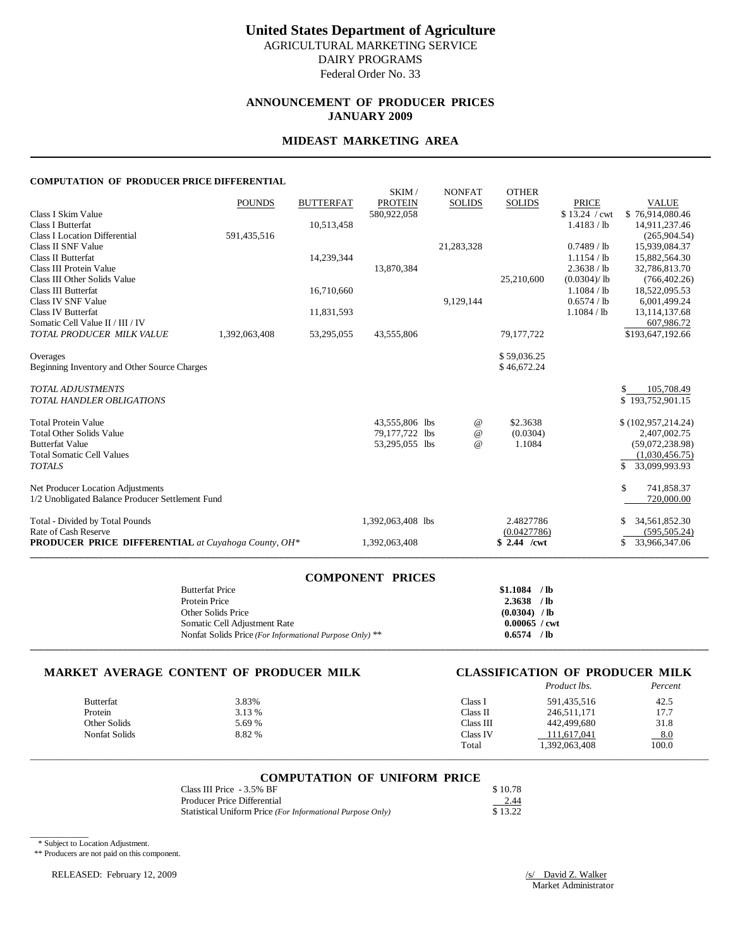## **ANNOUNCEMENT OF PRODUCER PRICES JANUARY 2009**

### **MIDEAST MARKETING AREA**

### **COMPUTATION OF PRODUCER PRICE DIFFERENTIAL**

|                                                            | <b>POUNDS</b> | <b>BUTTERFAT</b> | SKIM/<br><b>PROTEIN</b> | <b>NONFAT</b><br><b>SOLIDS</b> | <b>OTHER</b><br><b>SOLIDS</b> | <b>PRICE</b>  | <b>VALUE</b>                      |
|------------------------------------------------------------|---------------|------------------|-------------------------|--------------------------------|-------------------------------|---------------|-----------------------------------|
| Class I Skim Value                                         |               |                  | 580,922,058             |                                |                               | \$13.24 / cwt | \$76.914.080.46                   |
| <b>Class I Butterfat</b>                                   |               | 10,513,458       |                         |                                |                               | 1.4183 / lb   | 14,911,237.46                     |
| <b>Class I Location Differential</b>                       | 591,435,516   |                  |                         |                                |                               |               | (265,904.54)                      |
| Class II SNF Value                                         |               |                  |                         | 21,283,328                     |                               | $0.7489$ / lb | 15,939,084.37                     |
| Class II Butterfat                                         |               | 14,239,344       |                         |                                |                               | $1.1154$ / lb | 15,882,564.30                     |
| Class III Protein Value                                    |               |                  | 13,870,384              |                                |                               | 2.3638 / lb   | 32,786,813.70                     |
| Class III Other Solids Value                               |               |                  |                         |                                | 25,210,600                    | (0.0304)/lb   | (766, 402.26)                     |
| Class III Butterfat                                        |               | 16,710,660       |                         |                                |                               | 1.1084 / lb   | 18,522,095.53                     |
| Class IV SNF Value                                         |               |                  |                         | 9,129,144                      |                               | 0.6574 / lb   | 6,001,499.24                      |
| <b>Class IV Butterfat</b>                                  |               | 11,831,593       |                         |                                |                               | 1.1084 / lb   | 13, 114, 137. 68                  |
| Somatic Cell Value II / III / IV                           |               |                  |                         |                                |                               |               | 607,986.72                        |
| TOTAL PRODUCER MILK VALUE                                  | 1,392,063,408 | 53,295,055       | 43,555,806              |                                | 79,177,722                    |               | \$193,647,192.66                  |
| Overages                                                   |               |                  |                         |                                | \$59,036.25                   |               |                                   |
| Beginning Inventory and Other Source Charges               |               |                  |                         |                                | \$46,672.24                   |               |                                   |
|                                                            |               |                  |                         |                                |                               |               |                                   |
| <b>TOTAL ADJUSTMENTS</b>                                   |               |                  |                         |                                |                               |               | 105,708.49<br>\$                  |
| <b>TOTAL HANDLER OBLIGATIONS</b>                           |               |                  |                         |                                |                               |               | \$193,752,901.15                  |
|                                                            |               |                  |                         |                                |                               |               |                                   |
| <b>Total Protein Value</b>                                 |               |                  | 43,555,806 lbs          | $^{\,a}$                       | \$2.3638                      |               | \$(102,957,214.24)                |
| <b>Total Other Solids Value</b><br><b>Butterfat Value</b>  |               |                  | 79,177,722 lbs          | $^{\copyright}$                | (0.0304)<br>1.1084            |               | 2,407,002.75                      |
| <b>Total Somatic Cell Values</b>                           |               |                  | 53,295,055 lbs          | $^{\omega}{}$                  |                               |               | (59,072,238.98)<br>(1,030,456.75) |
| <b>TOTALS</b>                                              |               |                  |                         |                                |                               |               | \$                                |
|                                                            |               |                  |                         |                                |                               |               | 33,099,993.93                     |
| Net Producer Location Adjustments                          |               |                  |                         |                                |                               |               | \$<br>741,858.37                  |
| 1/2 Unobligated Balance Producer Settlement Fund           |               |                  |                         |                                |                               |               | 720,000.00                        |
| Total - Divided by Total Pounds                            |               |                  | 1,392,063,408 lbs       |                                | 2.4827786                     |               | 34,561,852.30<br>S                |
| Rate of Cash Reserve                                       |               |                  |                         |                                | (0.0427786)                   |               | (595, 505, 24)                    |
| <b>PRODUCER PRICE DIFFERENTIAL</b> at Cuyahoga County, OH* |               |                  | 1,392,063,408           |                                | \$ 2.44 /cwt                  |               | 33,966,347.06<br>\$               |
|                                                            |               |                  |                         |                                |                               |               |                                   |

| <b>COMPONENT PRICES</b>                                 |                        |
|---------------------------------------------------------|------------------------|
| <b>Butterfat Price</b>                                  | $$1.1084$ /lb          |
| Protein Price                                           | $2.3638$ /lb           |
| Other Solids Price                                      | $(0.0304)$ / lb        |
| Somatic Cell Adjustment Rate                            | $0.00065 / \text{cwt}$ |
| Nonfat Solids Price (For Informational Purpose Only) ** | $0.6574$ /lb           |
|                                                         |                        |

### **MARKET AVERAGE CONTENT OF PRODUCER MILK CLASSIFICATION OF PRODUCER MILK**

# *Product lbs. Percent*

| <b>Butterfat</b> | 3.83%  | Class i   | 591,435,516   | 42.5  |
|------------------|--------|-----------|---------------|-------|
| Protein          | 3.13 % | Class II  | 246.511.171   | 17.7  |
| Other Solids     | 5.69 % | Class III | 442.499.680   | 31.8  |
| Nonfat Solids    | 8.82 % | Class IV  | 111.617.041   | 8.0   |
|                  |        | Total     | 1,392,063,408 | 100.0 |

# \_\_\_\_\_\_\_\_\_\_\_\_\_\_\_\_\_\_\_\_\_\_\_\_\_\_\_\_\_\_\_\_\_\_\_\_\_\_\_\_\_\_\_\_\_\_\_\_\_\_\_\_\_\_\_\_\_\_\_\_\_\_\_\_\_\_\_\_\_\_\_\_\_\_\_\_\_\_\_\_\_\_\_\_\_\_\_\_\_\_\_\_\_\_\_\_\_\_\_\_\_\_\_\_\_\_\_\_\_\_\_\_\_\_\_\_\_\_\_\_\_\_\_\_\_\_\_\_\_\_\_\_\_\_\_\_\_\_\_ **COMPUTATION OF UNIFORM PRICE**

| Class III Price - 3.5% BF                                  | \$10.78 |
|------------------------------------------------------------|---------|
| Producer Price Differential                                | 2.44    |
| Statistical Uniform Price (For Informational Purpose Only) | \$13.22 |

\* Subject to Location Adjustment.

\_\_\_\_\_\_\_\_\_\_\_\_

\*\* Producers are not paid on this component.

RELEASED: February 12, 2009

 $\frac{|s|}{\sqrt{|s|}}$  David Z. Walker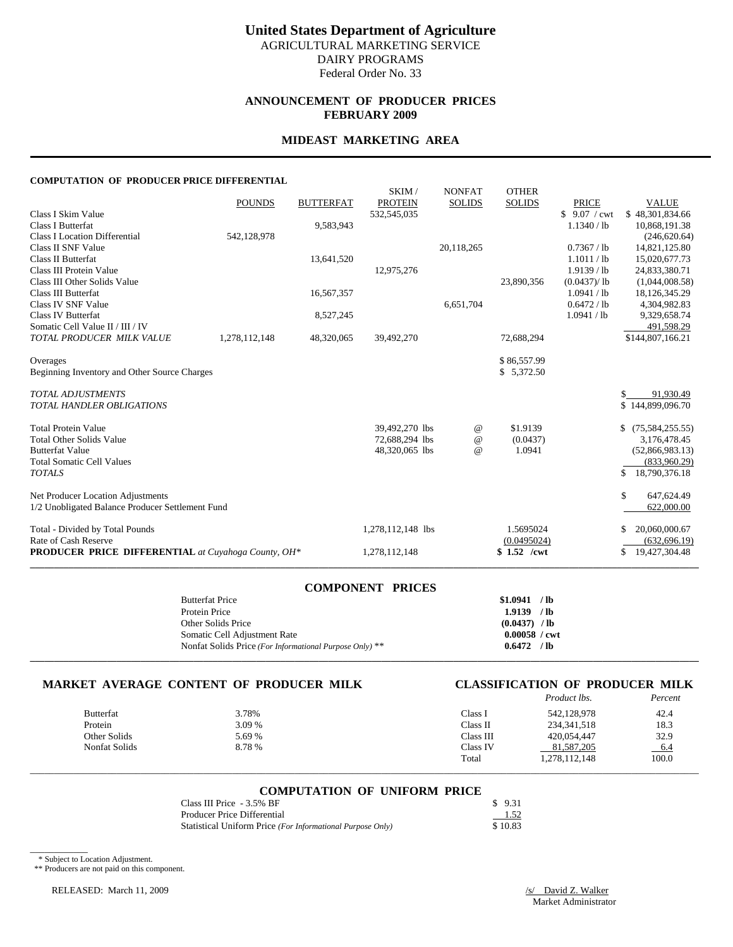## **ANNOUNCEMENT OF PRODUCER PRICES FEBRUARY 2009**

### **MIDEAST MARKETING AREA**

### **COMPUTATION OF PRODUCER PRICE DIFFERENTIAL**

|                                                            |               |                  | SKIM/             | <b>NONFAT</b> | <b>OTHER</b>  |              |                     |
|------------------------------------------------------------|---------------|------------------|-------------------|---------------|---------------|--------------|---------------------|
|                                                            | <b>POUNDS</b> | <b>BUTTERFAT</b> | <b>PROTEIN</b>    | <b>SOLIDS</b> | <b>SOLIDS</b> | <b>PRICE</b> | <b>VALUE</b>        |
| Class I Skim Value                                         |               |                  | 532,545,035       |               |               | \$9.07 / cwt | \$48,301,834.66     |
| Class I Butterfat                                          |               | 9,583,943        |                   |               |               | 1.1340 / lb  | 10,868,191.38       |
| <b>Class I Location Differential</b>                       | 542,128,978   |                  |                   |               |               |              | (246, 620.64)       |
| Class II SNF Value                                         |               |                  |                   | 20,118,265    |               | 0.7367 / lb  | 14,821,125.80       |
| Class II Butterfat                                         |               | 13,641,520       |                   |               |               | 1.1011 / lb  | 15,020,677.73       |
| Class III Protein Value                                    |               |                  | 12,975,276        |               |               | 1.9139 / lb  | 24,833,380.71       |
| Class III Other Solids Value                               |               |                  |                   |               | 23,890,356    | (0.0437)/lb  | (1,044,008.58)      |
| Class III Butterfat                                        |               | 16,567,357       |                   |               |               | 1.0941 / lb  | 18,126,345.29       |
| Class IV SNF Value                                         |               |                  |                   | 6,651,704     |               | 0.6472 / lb  | 4,304,982.83        |
| <b>Class IV Butterfat</b>                                  |               | 8,527,245        |                   |               |               | 1.0941 / lb  | 9,329,658.74        |
| Somatic Cell Value II / III / IV                           |               |                  |                   |               |               |              | 491,598.29          |
| TOTAL PRODUCER MILK VALUE                                  | 1,278,112,148 | 48,320,065       | 39,492,270        |               | 72,688,294    |              | \$144,807,166.21    |
| Overages                                                   |               |                  |                   |               | \$86,557.99   |              |                     |
| Beginning Inventory and Other Source Charges               |               |                  |                   |               | \$5,372.50    |              |                     |
| <b>TOTAL ADJUSTMENTS</b>                                   |               |                  |                   |               |               |              | 91,930.49<br>\$     |
| <b>TOTAL HANDLER OBLIGATIONS</b>                           |               |                  |                   |               |               |              | \$144,899,096.70    |
| <b>Total Protein Value</b>                                 |               |                  | 39,492,270 lbs    | $^{\circ}$    | \$1.9139      |              | \$(75,584,255.55)   |
| <b>Total Other Solids Value</b>                            |               |                  | 72,688,294 lbs    | $^{\circ}$    | (0.0437)      |              | 3,176,478.45        |
| <b>Butterfat Value</b>                                     |               |                  | 48,320,065 lbs    | $\omega$      | 1.0941        |              | (52,866,983.13)     |
| <b>Total Somatic Cell Values</b>                           |               |                  |                   |               |               |              | (833,960.29)        |
| <b>TOTALS</b>                                              |               |                  |                   |               |               |              | 18,790,376.18<br>\$ |
| Net Producer Location Adjustments                          |               |                  |                   |               |               |              | \$<br>647,624.49    |
| 1/2 Unobligated Balance Producer Settlement Fund           |               |                  |                   |               |               |              | 622,000.00          |
| Total - Divided by Total Pounds                            |               |                  | 1,278,112,148 lbs |               | 1.5695024     |              | 20,060,000.67<br>S  |
| Rate of Cash Reserve                                       |               |                  |                   |               | (0.0495024)   |              | (632, 696.19)       |
| <b>PRODUCER PRICE DIFFERENTIAL</b> at Cuyahoga County, OH* |               |                  | 1,278,112,148     |               | $$1.52$ /cwt  |              | 19,427,304.48<br>\$ |
|                                                            |               |                  |                   |               |               |              |                     |

### **COMPONENT PRICES**

| <b>Butterfat Price</b>                                  | \$1.0941        | $/$ lb |
|---------------------------------------------------------|-----------------|--------|
| Protein Price                                           | 1.9139          | $/$ lb |
| Other Solids Price                                      | $(0.0437)$ / lb |        |
| Somatic Cell Adjustment Rate                            | $0.00058$ / cwt |        |
| Nonfat Solids Price (For Informational Purpose Only) ** | 0.6472          | / lb   |
|                                                         |                 |        |

# **MARKET AVERAGE CONTENT OF PRODUCER MILK CLASSIFICATION OF PRODUCER MILK**

|               |        |           | Product lbs.  | Percent |
|---------------|--------|-----------|---------------|---------|
| Butterfat     | 3.78%  | Class I   | 542.128.978   | 42.4    |
| Protein       | 3.09 % | Class II  | 234, 341, 518 | 18.3    |
| Other Solids  | 5.69 % | Class III | 420,054.447   | 32.9    |
| Nonfat Solids | 8.78 % | Class IV  | 81,587,205    | 6.4     |
|               |        | Total     | 1,278,112,148 | 100.0   |

# \_\_\_\_\_\_\_\_\_\_\_\_\_\_\_\_\_\_\_\_\_\_\_\_\_\_\_\_\_\_\_\_\_\_\_\_\_\_\_\_\_\_\_\_\_\_\_\_\_\_\_\_\_\_\_\_\_\_\_\_\_\_\_\_\_\_\_\_\_\_\_\_\_\_\_\_\_\_\_\_\_\_\_\_\_\_\_\_\_\_\_\_\_\_\_\_\_\_\_\_\_\_\_\_\_\_\_\_\_\_\_\_\_\_\_\_\_\_\_\_\_\_\_\_\_\_\_\_\_\_\_\_\_\_\_\_\_\_\_ **COMPUTATION OF UNIFORM PRICE**

| Class III Price - 3.5% BF                                  | \$9.31  |
|------------------------------------------------------------|---------|
| Producer Price Differential                                | 1.52    |
| Statistical Uniform Price (For Informational Purpose Only) | \$10.83 |

\* Subject to Location Adjustment.

 $\overline{\phantom{a}}$   $\overline{\phantom{a}}$   $\overline{\phantom{a}}$   $\overline{\phantom{a}}$   $\overline{\phantom{a}}$   $\overline{\phantom{a}}$   $\overline{\phantom{a}}$   $\overline{\phantom{a}}$   $\overline{\phantom{a}}$   $\overline{\phantom{a}}$   $\overline{\phantom{a}}$   $\overline{\phantom{a}}$   $\overline{\phantom{a}}$   $\overline{\phantom{a}}$   $\overline{\phantom{a}}$   $\overline{\phantom{a}}$   $\overline{\phantom{a}}$   $\overline{\phantom{a}}$   $\overline{\$ 

\*\* Producers are not paid on this component.

RELEASED: March 11, 2009 /s/ David Z. Walker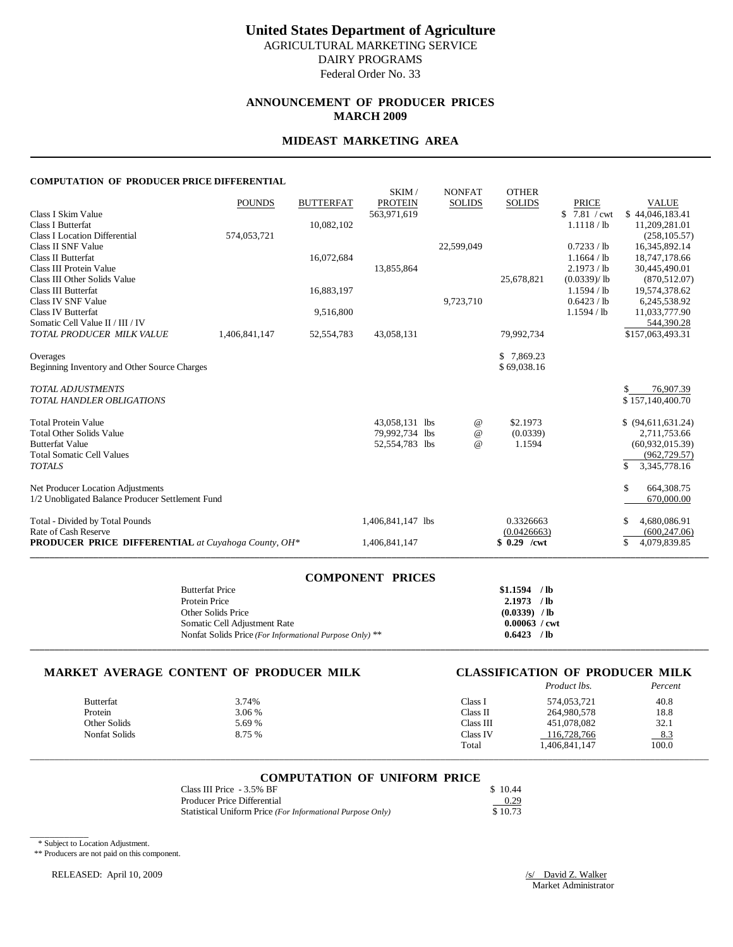## **ANNOUNCEMENT OF PRODUCER PRICES MARCH 2009**

### **MIDEAST MARKETING AREA**

### **COMPUTATION OF PRODUCER PRICE DIFFERENTIAL**

|                                                            | <b>POUNDS</b> | <b>BUTTERFAT</b> | SKIM/<br><b>PROTEIN</b> | <b>NONFAT</b><br><b>SOLIDS</b> | <b>OTHER</b><br><b>SOLIDS</b> | <b>PRICE</b> | <b>VALUE</b>       |
|------------------------------------------------------------|---------------|------------------|-------------------------|--------------------------------|-------------------------------|--------------|--------------------|
| Class I Skim Value                                         |               |                  | 563,971,619             |                                |                               | \$7.81 / cwt | \$44.046.183.41    |
| <b>Class I Butterfat</b>                                   |               | 10,082,102       |                         |                                |                               | 1.1118 / lb  | 11,209,281.01      |
| <b>Class I Location Differential</b>                       | 574,053,721   |                  |                         |                                |                               |              | (258, 105.57)      |
| Class II SNF Value                                         |               |                  |                         | 22,599,049                     |                               | 0.7233 / lb  | 16,345,892.14      |
| Class II Butterfat                                         |               | 16,072,684       |                         |                                |                               | 1.1664 / lb  | 18,747,178.66      |
| Class III Protein Value                                    |               |                  | 13,855,864              |                                |                               | 2.1973 / lb  | 30,445,490.01      |
| Class III Other Solids Value                               |               |                  |                         |                                | 25,678,821                    | (0.0339)/lb  | (870, 512, 07)     |
| Class III Butterfat                                        |               | 16,883,197       |                         |                                |                               | 1.1594 / lb  | 19,574,378.62      |
| Class IV SNF Value                                         |               |                  |                         | 9,723,710                      |                               | 0.6423 / lb  | 6,245,538.92       |
| Class IV Butterfat                                         |               | 9,516,800        |                         |                                |                               | 1.1594 / lb  | 11,033,777.90      |
| Somatic Cell Value II / III / IV                           |               |                  |                         |                                |                               |              | 544,390.28         |
| TOTAL PRODUCER MILK VALUE                                  | 1,406,841,147 | 52, 554, 783     | 43,058,131              |                                | 79,992,734                    |              | \$157,063,493.31   |
| Overages                                                   |               |                  |                         |                                | \$7,869.23                    |              |                    |
| Beginning Inventory and Other Source Charges               |               |                  |                         |                                | \$69,038.16                   |              |                    |
|                                                            |               |                  |                         |                                |                               |              |                    |
| <b>TOTAL ADJUSTMENTS</b>                                   |               |                  |                         |                                |                               |              | 76,907.39          |
| <b>TOTAL HANDLER OBLIGATIONS</b>                           |               |                  |                         |                                |                               |              | \$157,140,400.70   |
|                                                            |               |                  |                         |                                |                               |              |                    |
| <b>Total Protein Value</b>                                 |               |                  | 43,058,131 lbs          | $^{\,a}$                       | \$2.1973                      |              | \$ (94,611,631.24) |
| <b>Total Other Solids Value</b>                            |               |                  | 79,992,734 lbs          | $^{\circ}$                     | (0.0339)                      |              | 2,711,753.66       |
| <b>Butterfat Value</b>                                     |               |                  | 52,554,783 lbs          | $^{\omega}{}$                  | 1.1594                        |              | (60,932,015.39)    |
| <b>Total Somatic Cell Values</b>                           |               |                  |                         |                                |                               |              | (962, 729.57)      |
| <b>TOTALS</b>                                              |               |                  |                         |                                |                               |              | \$<br>3,345,778.16 |
| Net Producer Location Adjustments                          |               |                  |                         |                                |                               |              | \$.<br>664,308.75  |
| 1/2 Unobligated Balance Producer Settlement Fund           |               |                  |                         |                                |                               |              | 670,000.00         |
|                                                            |               |                  |                         |                                |                               |              |                    |
| Total - Divided by Total Pounds                            |               |                  | 1,406,841,147 lbs       |                                | 0.3326663                     |              | 4,680,086.91       |
| Rate of Cash Reserve                                       |               |                  |                         |                                | (0.0426663)                   |              | (600, 247.06)      |
| <b>PRODUCER PRICE DIFFERENTIAL</b> at Cuyahoga County, OH* |               |                  | 1,406,841,147           |                                | $$0.29$ /cwt                  |              | 4,079,839.85<br>\$ |
|                                                            |               |                  |                         |                                |                               |              |                    |

| <b>COMPONENT PRICES</b>                                 |                        |
|---------------------------------------------------------|------------------------|
| <b>Butterfat Price</b>                                  | $$1.1594$ /lb          |
| Protein Price                                           | $2.1973$ /lb           |
| Other Solids Price                                      | $(0.0339)$ /lb         |
| Somatic Cell Adjustment Rate                            | $0.00063 / \text{cwt}$ |
| Nonfat Solids Price (For Informational Purpose Only) ** | $0.6423$ /lb           |
|                                                         |                        |

### **MARKET AVERAGE CONTENT OF PRODUCER MILK CLASSIFICATION OF PRODUCER MILK**

# *Product lbs. Percent*

| <b>Butterfat</b> | 3.74%  | Class l   | 574,053,721   | 40.8   |
|------------------|--------|-----------|---------------|--------|
| Protein          | 3.06 % | Class II  | 264,980,578   | 18.8   |
| Other Solids     | 5.69 % | Class III | 451.078.082   | 32.1   |
| Nonfat Solids    | 8.75 % | Class IV  | 116.728.766   | $-8.3$ |
|                  |        | Total     | 1,406,841,147 | 100.0  |

# \_\_\_\_\_\_\_\_\_\_\_\_\_\_\_\_\_\_\_\_\_\_\_\_\_\_\_\_\_\_\_\_\_\_\_\_\_\_\_\_\_\_\_\_\_\_\_\_\_\_\_\_\_\_\_\_\_\_\_\_\_\_\_\_\_\_\_\_\_\_\_\_\_\_\_\_\_\_\_\_\_\_\_\_\_\_\_\_\_\_\_\_\_\_\_\_\_\_\_\_\_\_\_\_\_\_\_\_\_\_\_\_\_\_\_\_\_\_\_\_\_\_\_\_\_\_\_\_\_\_\_\_\_\_\_\_\_\_\_ **COMPUTATION OF UNIFORM PRICE**

| Class III Price - 3.5% BF                                  | \$10.44 |
|------------------------------------------------------------|---------|
| Producer Price Differential                                | 0.29    |
| Statistical Uniform Price (For Informational Purpose Only) | \$10.73 |

\* Subject to Location Adjustment.

\_\_\_\_\_\_\_\_\_\_\_\_

\*\* Producers are not paid on this component.

RELEASED: April 10, 2009

 $\frac{|s|}{\sqrt{N}}$  David Z. Walker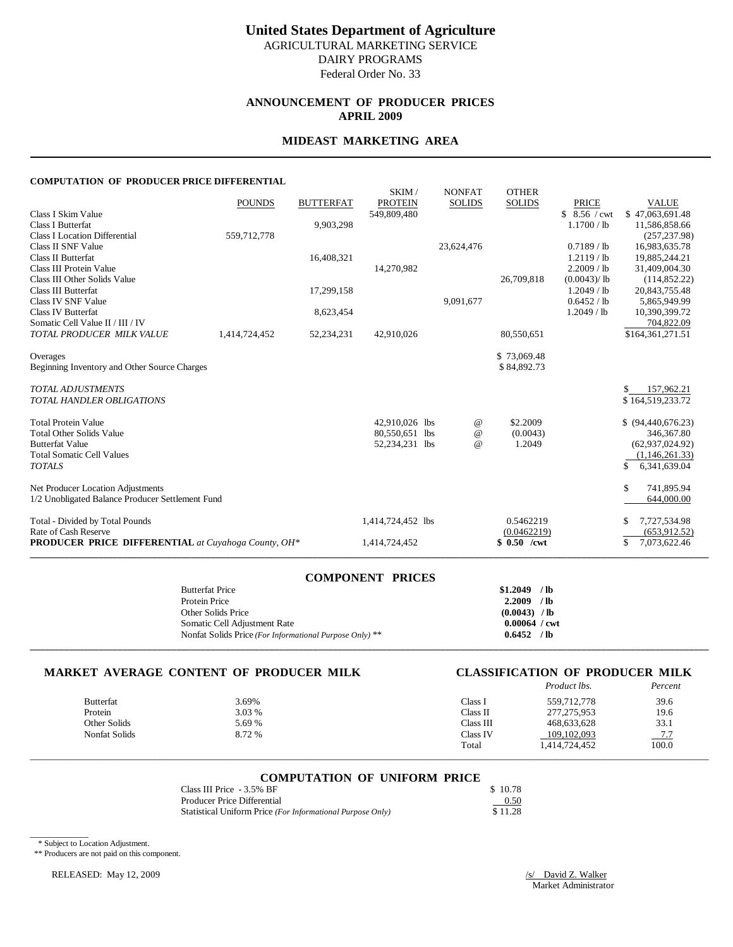# **United States Department of Agriculture** AGRICULTURAL MARKETING SERVICE DAIRY PROGRAMS

Federal Order No. 33

## **ANNOUNCEMENT OF PRODUCER PRICES APRIL 2009**

## **MIDEAST MARKETING AREA**

### **COMPUTATION OF PRODUCER PRICE DIFFERENTIAL**

|                                                            | <b>POUNDS</b> | <b>BUTTERFAT</b> | SKIM/<br><b>PROTEIN</b> | <b>NONFAT</b><br><b>SOLIDS</b> | <b>OTHER</b><br><b>SOLIDS</b> | <b>PRICE</b>  | <b>VALUE</b>       |
|------------------------------------------------------------|---------------|------------------|-------------------------|--------------------------------|-------------------------------|---------------|--------------------|
| Class I Skim Value                                         |               |                  | 549,809,480             |                                |                               | $$8.56$ / cwt | \$47,063,691.48    |
| <b>Class I Butterfat</b>                                   |               | 9,903,298        |                         |                                |                               | 1.1700 / lb   | 11,586,858.66      |
| <b>Class I Location Differential</b>                       | 559,712,778   |                  |                         |                                |                               |               | (257, 237.98)      |
| Class II SNF Value                                         |               |                  |                         | 23,624,476                     |                               | 0.7189 / lb   | 16,983,635.78      |
| Class II Butterfat                                         |               | 16,408,321       |                         |                                |                               | $1.2119$ / lb | 19,885,244.21      |
| Class III Protein Value                                    |               |                  | 14,270,982              |                                |                               | 2.2009 / lb   | 31,409,004.30      |
| Class III Other Solids Value                               |               |                  |                         |                                | 26,709,818                    | (0.0043)/lb   | (114, 852.22)      |
| Class III Butterfat                                        |               | 17,299,158       |                         |                                |                               | $1.2049$ / lb | 20,843,755.48      |
| Class IV SNF Value                                         |               |                  |                         | 9,091,677                      |                               | 0.6452 / lb   | 5,865,949.99       |
| Class IV Butterfat                                         |               | 8,623,454        |                         |                                |                               | $1.2049$ / lb | 10,390,399.72      |
| Somatic Cell Value II / III / IV                           |               |                  |                         |                                |                               |               | 704,822.09         |
| TOTAL PRODUCER MILK VALUE                                  | 1,414,724,452 | 52,234,231       | 42,910,026              |                                | 80,550,651                    |               | \$164,361,271.51   |
|                                                            |               |                  |                         |                                |                               |               |                    |
| Overages                                                   |               |                  |                         |                                | \$73,069.48                   |               |                    |
| Beginning Inventory and Other Source Charges               |               |                  |                         |                                | \$84,892.73                   |               |                    |
| <b>TOTAL ADJUSTMENTS</b>                                   |               |                  |                         |                                |                               |               | 157,962.21         |
| <b>TOTAL HANDLER OBLIGATIONS</b>                           |               |                  |                         |                                |                               |               | \$164,519,233.72   |
|                                                            |               |                  |                         |                                |                               |               |                    |
| <b>Total Protein Value</b>                                 |               |                  | 42.910.026 lbs          | $^{\,a}$                       | \$2.2009                      |               | \$ (94,440,676.23) |
| <b>Total Other Solids Value</b>                            |               |                  | 80,550,651 lbs          | $^{\copyright}$                | (0.0043)                      |               | 346, 367.80        |
| <b>Butterfat Value</b><br><b>Total Somatic Cell Values</b> |               |                  | 52,234,231 lbs          | $^{\omega}{}$                  | 1.2049                        |               | (62,937,024.92)    |
|                                                            |               |                  |                         |                                |                               |               | (1,146,261.33)     |
| <b>TOTALS</b>                                              |               |                  |                         |                                |                               |               | \$<br>6,341,639.04 |
| Net Producer Location Adjustments                          |               |                  |                         |                                |                               |               | \$.<br>741,895.94  |
| 1/2 Unobligated Balance Producer Settlement Fund           |               |                  |                         |                                |                               |               | 644,000.00         |
| Total - Divided by Total Pounds                            |               |                  | 1,414,724,452 lbs       |                                | 0.5462219                     |               | 7,727,534.98       |
| Rate of Cash Reserve                                       |               |                  |                         |                                | (0.0462219)                   |               | (653, 912, 52)     |
| <b>PRODUCER PRICE DIFFERENTIAL</b> at Cuyahoga County, OH* |               |                  | 1,414,724,452           |                                | $$0.50$ /cwt                  |               | \$<br>7,073,622.46 |
|                                                            |               |                  |                         |                                |                               |               |                    |

| <b>COMPONENT PRICES</b>                                 |                        |
|---------------------------------------------------------|------------------------|
| <b>Butterfat Price</b>                                  | $$1.2049$ /lb          |
| Protein Price                                           | $2.2009$ /lb           |
| Other Solids Price                                      | $(0.0043)$ / lb        |
| Somatic Cell Adjustment Rate                            | $0.00064 / \text{cwt}$ |
| Nonfat Solids Price (For Informational Purpose Only) ** | $0.6452$ /lb           |
|                                                         |                        |

### **MARKET AVERAGE CONTENT OF PRODUCER MILK CLASSIFICATION OF PRODUCER MILK**

# *Product lbs. Percent*

| 3.69%                                                        | Class <sub>1</sub> | 559,712,778   | 39.6   |
|--------------------------------------------------------------|--------------------|---------------|--------|
| 3.03 %                                                       | Class II           | 277, 275, 953 | 19.6   |
| 5.69 %                                                       | Class III          | 468.633.628   | 33.1   |
| 8.72 %                                                       | Class IV           | 109.102.093   | $-7.7$ |
|                                                              | Total              | 1,414,724,452 | 100.0  |
| <b>Butterfat</b><br>Protein<br>Other Solids<br>Nonfat Solids |                    |               |        |

# \_\_\_\_\_\_\_\_\_\_\_\_\_\_\_\_\_\_\_\_\_\_\_\_\_\_\_\_\_\_\_\_\_\_\_\_\_\_\_\_\_\_\_\_\_\_\_\_\_\_\_\_\_\_\_\_\_\_\_\_\_\_\_\_\_\_\_\_\_\_\_\_\_\_\_\_\_\_\_\_\_\_\_\_\_\_\_\_\_\_\_\_\_\_\_\_\_\_\_\_\_\_\_\_\_\_\_\_\_\_\_\_\_\_\_\_\_\_\_\_\_\_\_\_\_\_\_\_\_\_\_\_\_\_\_\_\_\_\_ **COMPUTATION OF UNIFORM PRICE**

| Class III Price - 3.5% BF                                  | \$10.78 |
|------------------------------------------------------------|---------|
| Producer Price Differential                                | 0.50    |
| Statistical Uniform Price (For Informational Purpose Only) | \$11.28 |

\* Subject to Location Adjustment.

\_\_\_\_\_\_\_\_\_\_\_\_

\*\* Producers are not paid on this component.

RELEASED: May 12, 2009

 $\frac{|s|}{\sqrt{|s|}}$  David Z. Walker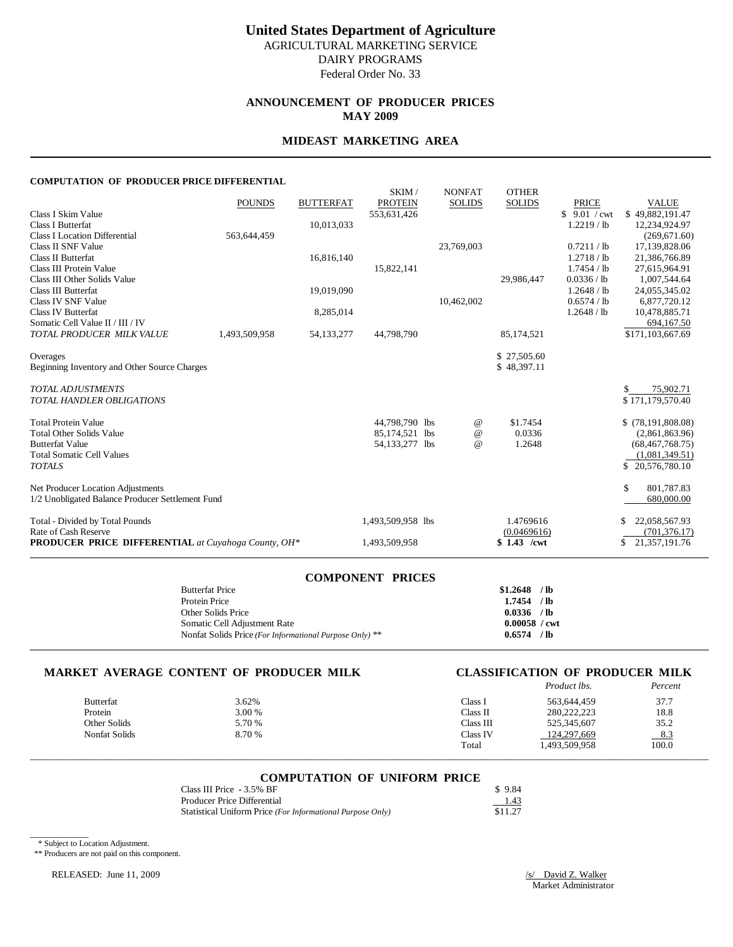# **United States Department of Agriculture**

AGRICULTURAL MARKETING SERVICE DAIRY PROGRAMS

Federal Order No. 33

### **ANNOUNCEMENT OF PRODUCER PRICES MAY 2009**

### **MIDEAST MARKETING AREA**

### **COMPUTATION OF PRODUCER PRICE DIFFERENTIAL**

|                                                            | <b>POUNDS</b> | <b>BUTTERFAT</b> | SKIM/<br><b>PROTEIN</b> | <b>NONFAT</b><br><b>SOLIDS</b> | <b>OTHER</b><br><b>SOLIDS</b> | <b>PRICE</b>  | <b>VALUE</b>        |
|------------------------------------------------------------|---------------|------------------|-------------------------|--------------------------------|-------------------------------|---------------|---------------------|
| Class I Skim Value                                         |               |                  | 553,631,426             |                                |                               | \$9.01 / cwt  | \$49.882,191.47     |
| <b>Class I Butterfat</b>                                   |               | 10,013,033       |                         |                                |                               | $1.2219$ / lb | 12,234,924.97       |
| <b>Class I Location Differential</b>                       | 563,644,459   |                  |                         |                                |                               |               | (269, 671, 60)      |
| Class II SNF Value                                         |               |                  |                         | 23,769,003                     |                               | 0.7211/lb     | 17,139,828.06       |
| Class II Butterfat                                         |               | 16,816,140       |                         |                                |                               | 1.2718 / lb   | 21,386,766.89       |
| Class III Protein Value                                    |               |                  | 15,822,141              |                                |                               | 1.7454 / lb   | 27,615,964.91       |
| Class III Other Solids Value                               |               |                  |                         |                                | 29,986,447                    | 0.0336 / lb   | 1,007,544.64        |
| Class III Butterfat                                        |               | 19,019,090       |                         |                                |                               | 1.2648 / lb   | 24,055,345.02       |
| Class IV SNF Value                                         |               |                  |                         | 10,462,002                     |                               | 0.6574 / lb   | 6,877,720.12        |
| Class IV Butterfat                                         |               | 8,285,014        |                         |                                |                               | 1.2648 / lb   | 10,478,885.71       |
| Somatic Cell Value II / III / IV                           |               |                  |                         |                                |                               |               | 694.167.50          |
| TOTAL PRODUCER MILK VALUE                                  | 1,493,509,958 | 54, 133, 277     | 44,798,790              |                                | 85,174,521                    |               | \$171,103,667.69    |
| Overages                                                   |               |                  |                         |                                | \$27,505.60                   |               |                     |
| Beginning Inventory and Other Source Charges               |               |                  |                         |                                | \$48,397.11                   |               |                     |
|                                                            |               |                  |                         |                                |                               |               |                     |
| <b>TOTAL ADJUSTMENTS</b>                                   |               |                  |                         |                                |                               |               | 75,902.71           |
| <b>TOTAL HANDLER OBLIGATIONS</b>                           |               |                  |                         |                                |                               |               | \$171,179,570.40    |
|                                                            |               |                  |                         |                                |                               |               |                     |
| <b>Total Protein Value</b>                                 |               |                  | 44,798,790 lbs          | $^{\,a}$                       | \$1.7454                      |               | \$(78,191,808.08)   |
| <b>Total Other Solids Value</b>                            |               |                  | 85,174,521 lbs          | $^{\copyright}$                | 0.0336                        |               | (2,861,863.96)      |
| <b>Butterfat Value</b>                                     |               |                  | 54,133,277 lbs          | $^{\omega}{}$                  | 1.2648                        |               | (68, 467, 768.75)   |
| <b>Total Somatic Cell Values</b>                           |               |                  |                         |                                |                               |               | (1,081,349.51)      |
| <b>TOTALS</b>                                              |               |                  |                         |                                |                               |               | \$20,576,780.10     |
| Net Producer Location Adjustments                          |               |                  |                         |                                |                               |               | \$.<br>801,787.83   |
| 1/2 Unobligated Balance Producer Settlement Fund           |               |                  |                         |                                |                               |               | 680,000.00          |
|                                                            |               |                  |                         |                                |                               |               |                     |
| Total - Divided by Total Pounds                            |               |                  | 1,493,509,958 lbs       |                                | 1.4769616                     |               | 22,058,567.93       |
| Rate of Cash Reserve                                       |               |                  |                         |                                | (0.0469616)                   |               | (701, 376.17)       |
| <b>PRODUCER PRICE DIFFERENTIAL</b> at Cuyahoga County, OH* |               |                  | 1,493,509,958           |                                | $$1.43$ /cwt                  |               | 21,357,191.76<br>\$ |
|                                                            |               |                  |                         |                                |                               |               |                     |

| <b>COMPONENT PRICES</b>                                 |                        |
|---------------------------------------------------------|------------------------|
| <b>Butterfat Price</b>                                  | $$1.2648$ /lb          |
| Protein Price                                           | $1.7454$ /lb           |
| Other Solids Price                                      | $0.0336$ /lb           |
| Somatic Cell Adjustment Rate                            | $0.00058 / \text{cwt}$ |
| Nonfat Solids Price (For Informational Purpose Only) ** | $0.6574$ /lb           |
|                                                         |                        |

### **MARKET AVERAGE CONTENT OF PRODUCER MILK CLASSIFICATION OF PRODUCER MILK**

# *Product lbs. Percent*

|                  |        |           | .             |       |
|------------------|--------|-----------|---------------|-------|
| <b>Butterfat</b> | 3.62%  | Class .   | 563.644.459   | 37.7  |
| Protein          | 3.00 % | Class II  | 280.222.223   | 18.8  |
| Other Solids     | 5.70 % | Class III | 525,345,607   | 35.2  |
| Nonfat Solids    | 8.70 % | Class IV  | 124.297.669   | 8.3   |
|                  |        | Total     | 1,493,509,958 | 100.0 |
|                  |        |           |               |       |

# \_\_\_\_\_\_\_\_\_\_\_\_\_\_\_\_\_\_\_\_\_\_\_\_\_\_\_\_\_\_\_\_\_\_\_\_\_\_\_\_\_\_\_\_\_\_\_\_\_\_\_\_\_\_\_\_\_\_\_\_\_\_\_\_\_\_\_\_\_\_\_\_\_\_\_\_\_\_\_\_\_\_\_\_\_\_\_\_\_\_\_\_\_\_\_\_\_\_\_\_\_\_\_\_\_\_\_\_\_\_\_\_\_\_\_\_\_\_\_\_\_\_\_\_\_\_\_\_\_\_\_\_\_\_\_\_\_\_\_ **COMPUTATION OF UNIFORM PRICE**

| Class III Price - 3.5% BF                                  | \$9.84  |
|------------------------------------------------------------|---------|
| Producer Price Differential                                | 1.43    |
| Statistical Uniform Price (For Informational Purpose Only) | \$11.27 |

\* Subject to Location Adjustment.

\_\_\_\_\_\_\_\_\_\_\_\_

\*\* Producers are not paid on this component.

RELEASED: June 11, 2009

 $\frac{|s|}{\sqrt{|s|}}$  David Z. Walker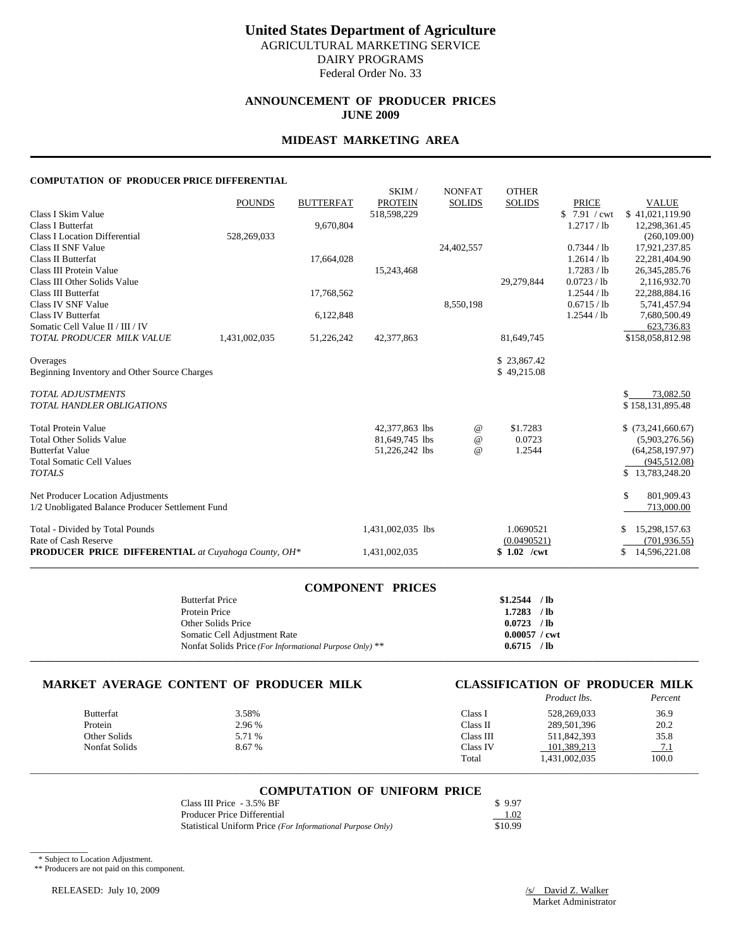### **ANNOUNCEMENT OF PRODUCER PRICES JUNE 2009**

### **MIDEAST MARKETING AREA**

### **COMPUTATION OF PRODUCER PRICE DIFFERENTIAL**

|                                                            |               |                  | SKIM/             | <b>NONFAT</b> | <b>OTHER</b>  |              |                     |
|------------------------------------------------------------|---------------|------------------|-------------------|---------------|---------------|--------------|---------------------|
|                                                            | <b>POUNDS</b> | <b>BUTTERFAT</b> | <b>PROTEIN</b>    | <b>SOLIDS</b> | <b>SOLIDS</b> | <b>PRICE</b> | <b>VALUE</b>        |
| Class I Skim Value                                         |               |                  | 518,598,229       |               |               | \$7.91 / cwt | \$41.021.119.90     |
| Class I Butterfat                                          |               | 9,670,804        |                   |               |               | 1.2717 / lb  | 12,298,361.45       |
| <b>Class I Location Differential</b>                       | 528,269,033   |                  |                   |               |               |              | (260, 109.00)       |
| Class II SNF Value                                         |               |                  |                   | 24,402,557    |               | 0.7344 / lb  | 17,921,237.85       |
| Class II Butterfat                                         |               | 17,664,028       |                   |               |               | 1.2614 / lb  | 22,281,404.90       |
| Class III Protein Value                                    |               |                  | 15,243,468        |               |               | 1.7283 / lb  | 26, 345, 285. 76    |
| Class III Other Solids Value                               |               |                  |                   |               | 29,279,844    | 0.0723 / lb  | 2,116,932.70        |
| Class III Butterfat                                        |               | 17,768,562       |                   |               |               | 1.2544 / lb  | 22,288,884.16       |
| Class IV SNF Value                                         |               |                  |                   | 8,550,198     |               | 0.6715 / lb  | 5,741,457.94        |
| <b>Class IV Butterfat</b>                                  |               | 6,122,848        |                   |               |               | 1.2544 / lb  | 7,680,500.49        |
| Somatic Cell Value II / III / IV                           |               |                  |                   |               |               |              | 623,736.83          |
| TOTAL PRODUCER MILK VALUE                                  | 1,431,002,035 | 51,226,242       | 42,377,863        |               | 81,649,745    |              | \$158,058,812.98    |
| Overages                                                   |               |                  |                   |               | \$23,867.42   |              |                     |
| Beginning Inventory and Other Source Charges               |               |                  |                   |               | \$49,215.08   |              |                     |
| <b>TOTAL ADJUSTMENTS</b>                                   |               |                  |                   |               |               |              | \$<br>73,082.50     |
| <b>TOTAL HANDLER OBLIGATIONS</b>                           |               |                  |                   |               |               |              | \$158,131,895.48    |
| <b>Total Protein Value</b>                                 |               |                  | 42,377,863 lbs    | $^{\circ}$    | \$1.7283      |              | \$(73,241,660.67)   |
| <b>Total Other Solids Value</b>                            |               |                  | 81,649,745 lbs    | $^{\circ}$    | 0.0723        |              | (5,903,276.56)      |
| <b>Butterfat Value</b>                                     |               |                  | 51,226,242 lbs    | $\omega$      | 1.2544        |              | (64, 258, 197.97)   |
| <b>Total Somatic Cell Values</b>                           |               |                  |                   |               |               |              | (945, 512.08)       |
| <b>TOTALS</b>                                              |               |                  |                   |               |               |              | \$13,783,248.20     |
| Net Producer Location Adjustments                          |               |                  |                   |               |               |              | \$<br>801,909.43    |
| 1/2 Unobligated Balance Producer Settlement Fund           |               |                  |                   |               |               |              | 713,000.00          |
| Total - Divided by Total Pounds                            |               |                  | 1,431,002,035 lbs |               | 1.0690521     |              | 15,298,157.63       |
| Rate of Cash Reserve                                       |               |                  |                   |               | (0.0490521)   |              | (701, 936.55)       |
| <b>PRODUCER PRICE DIFFERENTIAL</b> at Cuyahoga County, OH* |               |                  | 1,431,002,035     |               | $$1.02$ /cwt  |              | 14,596,221.08<br>\$ |
|                                                            |               |                  |                   |               |               |              |                     |

### **COMPONENT PRICES**

| <b>Butterfat Price</b>                                  | \$1,2544               | $/$ lb |
|---------------------------------------------------------|------------------------|--------|
| Protein Price                                           | 1.7283                 | $/$ lb |
| Other Solids Price                                      | 0.0723                 | $/$ lb |
| Somatic Cell Adjustment Rate                            | $0.00057 / \text{cwt}$ |        |
| Nonfat Solids Price (For Informational Purpose Only) ** | 0.6715                 | / lb   |
|                                                         |                        |        |

# **MARKET AVERAGE CONTENT OF PRODUCER MILK CLASSIFICATION OF PRODUCER MILK**

|                  |        |           | Product lbs.  | Percent |
|------------------|--------|-----------|---------------|---------|
| <b>Butterfat</b> | 3.58%  | Class I   | 528,269,033   | 36.9    |
| Protein          | 2.96 % | Class II  | 289,501,396   | 20.2    |
| Other Solids     | 5.71 % | Class III | 511.842.393   | 35.8    |
| Nonfat Solids    | 8.67 % | Class IV  | 101.389.213   | 7.1     |
|                  |        | Total     | 1.431.002.035 | 100.0   |

# \_\_\_\_\_\_\_\_\_\_\_\_\_\_\_\_\_\_\_\_\_\_\_\_\_\_\_\_\_\_\_\_\_\_\_\_\_\_\_\_\_\_\_\_\_\_\_\_\_\_\_\_\_\_\_\_\_\_\_\_\_\_\_\_\_\_\_\_\_\_\_\_\_\_\_\_\_\_\_\_\_\_\_\_\_\_\_\_\_\_\_\_\_\_\_\_\_\_\_\_\_\_\_\_\_\_\_\_\_\_\_\_\_\_\_\_\_\_\_\_\_\_\_\_\_\_\_\_\_\_\_\_\_\_\_\_\_\_\_ **COMPUTATION OF UNIFORM PRICE**

| Class III Price - 3.5% BF                                  | \$997   |
|------------------------------------------------------------|---------|
| Producer Price Differential                                | 1.02    |
| Statistical Uniform Price (For Informational Purpose Only) | \$10.99 |

\* Subject to Location Adjustment.

 $\overline{\phantom{a}}$   $\overline{\phantom{a}}$   $\overline{\phantom{a}}$   $\overline{\phantom{a}}$   $\overline{\phantom{a}}$   $\overline{\phantom{a}}$   $\overline{\phantom{a}}$   $\overline{\phantom{a}}$   $\overline{\phantom{a}}$   $\overline{\phantom{a}}$   $\overline{\phantom{a}}$   $\overline{\phantom{a}}$   $\overline{\phantom{a}}$   $\overline{\phantom{a}}$   $\overline{\phantom{a}}$   $\overline{\phantom{a}}$   $\overline{\phantom{a}}$   $\overline{\phantom{a}}$   $\overline{\$ 

\*\* Producers are not paid on this component.

RELEASED: July 10, 2009 /s/ David Z. Walker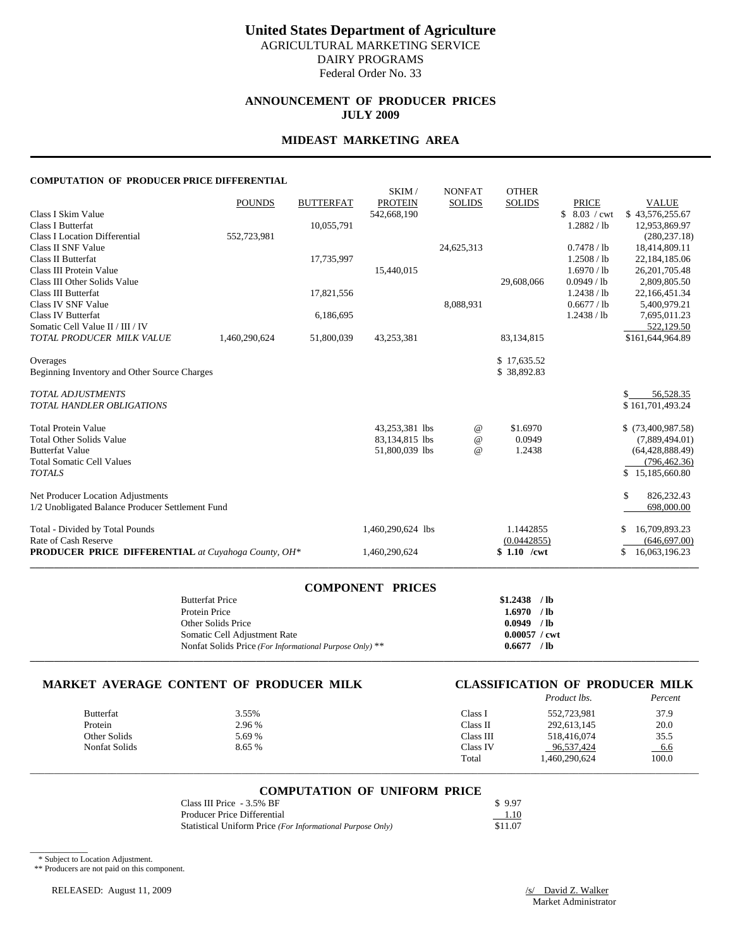### **ANNOUNCEMENT OF PRODUCER PRICES JULY 2009**

### **MIDEAST MARKETING AREA**

### **COMPUTATION OF PRODUCER PRICE DIFFERENTIAL**

|                                                     |               |                  | SKIM/             | <b>NONFAT</b> | <b>OTHER</b>  |              |                     |
|-----------------------------------------------------|---------------|------------------|-------------------|---------------|---------------|--------------|---------------------|
|                                                     | <b>POUNDS</b> | <b>BUTTERFAT</b> | <b>PROTEIN</b>    | <b>SOLIDS</b> | <b>SOLIDS</b> | <b>PRICE</b> | <b>VALUE</b>        |
| Class I Skim Value                                  |               |                  | 542,668,190       |               |               | \$8.03 / cwt | \$43,576,255.67     |
| Class I Butterfat                                   |               | 10,055,791       |                   |               |               | 1.2882 / lb  | 12,953,869.97       |
| <b>Class I Location Differential</b>                | 552,723,981   |                  |                   |               |               |              | (280, 237.18)       |
| Class II SNF Value                                  |               |                  |                   | 24,625,313    |               | 0.7478 / lb  | 18,414,809.11       |
| Class II Butterfat                                  |               | 17,735,997       |                   |               |               | 1.2508 / lb  | 22,184,185.06       |
| Class III Protein Value                             |               |                  | 15,440,015        |               |               | 1.6970 / lb  | 26, 201, 705. 48    |
| Class III Other Solids Value                        |               |                  |                   |               | 29,608,066    | 0.0949 / lb  | 2,809,805.50        |
| Class III Butterfat                                 |               | 17,821,556       |                   |               |               | 1.2438 / lb  | 22,166,451.34       |
| Class IV SNF Value                                  |               |                  |                   | 8,088,931     |               | 0.6677 / lb  | 5,400,979.21        |
| <b>Class IV Butterfat</b>                           |               | 6,186,695        |                   |               |               | 1.2438 / lb  | 7,695,011.23        |
| Somatic Cell Value II / III / IV                    |               |                  |                   |               |               |              | 522,129.50          |
| TOTAL PRODUCER MILK VALUE                           | 1,460,290,624 | 51,800,039       | 43,253,381        |               | 83,134,815    |              | \$161,644,964.89    |
| Overages                                            |               |                  |                   |               | \$17.635.52   |              |                     |
| Beginning Inventory and Other Source Charges        |               |                  |                   |               | \$38,892.83   |              |                     |
| <b>TOTAL ADJUSTMENTS</b>                            |               |                  |                   |               |               |              | \$<br>56,528.35     |
| <b>TOTAL HANDLER OBLIGATIONS</b>                    |               |                  |                   |               |               |              | \$161,701,493.24    |
|                                                     |               |                  |                   |               |               |              |                     |
| <b>Total Protein Value</b>                          |               |                  | 43,253,381 lbs    | $^{\omega}{}$ | \$1.6970      |              | $$$ (73,400,987.58) |
| <b>Total Other Solids Value</b>                     |               |                  | 83,134,815 lbs    | $\omega$      | 0.0949        |              | (7,889,494.01)      |
| <b>Butterfat Value</b>                              |               |                  | 51,800,039 lbs    | $\omega$      | 1.2438        |              | (64, 428, 888.49)   |
| <b>Total Somatic Cell Values</b>                    |               |                  |                   |               |               |              | (796, 462.36)       |
| <b>TOTALS</b>                                       |               |                  |                   |               |               |              | \$15,185,660.80     |
| Net Producer Location Adjustments                   |               |                  |                   |               |               |              | \$<br>826, 232. 43  |
| 1/2 Unobligated Balance Producer Settlement Fund    |               |                  |                   |               |               |              | 698,000.00          |
| Total - Divided by Total Pounds                     |               |                  | 1,460,290,624 lbs |               | 1.1442855     |              | 16,709,893.23<br>S  |
| Rate of Cash Reserve                                |               |                  |                   |               | (0.0442855)   |              | (646, 697.00)       |
| PRODUCER PRICE DIFFERENTIAL at Cuyahoga County, OH* |               |                  | 1,460,290,624     |               | \$ 1.10 /cwt  |              | 16,063,196.23<br>\$ |
|                                                     |               |                  |                   |               |               |              |                     |

### **COMPONENT PRICES**

| <b>Butterfat Price</b>                                  | \$1,2438               | $/$ lb |
|---------------------------------------------------------|------------------------|--------|
| Protein Price                                           | 1.6970                 | $/$ lb |
| Other Solids Price                                      | 0.0949                 | $/$ lb |
| Somatic Cell Adjustment Rate                            | $0.00057 / \text{cwt}$ |        |
| Nonfat Solids Price (For Informational Purpose Only) ** | 0.6677                 | $/$ lb |
|                                                         |                        |        |

# **MARKET AVERAGE CONTENT OF PRODUCER MILK CLASSIFICATION OF PRODUCER MILK**

|                  |        |           | <i>Product lbs.</i> | Percent |
|------------------|--------|-----------|---------------------|---------|
| <b>Butterfat</b> | 3.55%  | Class I   | 552,723,981         | 37.9    |
| Protein          | 2.96 % | Class II  | 292,613,145         | 20.0    |
| Other Solids     | 5.69 % | Class III | 518.416.074         | 35.5    |
| Nonfat Solids    | 8.65 % | Class IV  | 96,537,424          | $-6.6$  |
|                  |        | Total     | 460,290,624         | 100.0   |

# \_\_\_\_\_\_\_\_\_\_\_\_\_\_\_\_\_\_\_\_\_\_\_\_\_\_\_\_\_\_\_\_\_\_\_\_\_\_\_\_\_\_\_\_\_\_\_\_\_\_\_\_\_\_\_\_\_\_\_\_\_\_\_\_\_\_\_\_\_\_\_\_\_\_\_\_\_\_\_\_\_\_\_\_\_\_\_\_\_\_\_\_\_\_\_\_\_\_\_\_\_\_\_\_\_\_\_\_\_\_\_\_\_\_\_\_\_\_\_\_\_\_\_\_\_\_\_\_\_\_\_\_\_\_\_\_\_\_\_ **COMPUTATION OF UNIFORM PRICE**

| Class III Price - 3.5% BF                                  | \$997   |
|------------------------------------------------------------|---------|
| Producer Price Differential                                | 1.10    |
| Statistical Uniform Price (For Informational Purpose Only) | \$11.07 |

\* Subject to Location Adjustment.

 $\overline{\phantom{a}}$   $\overline{\phantom{a}}$   $\overline{\phantom{a}}$   $\overline{\phantom{a}}$   $\overline{\phantom{a}}$   $\overline{\phantom{a}}$   $\overline{\phantom{a}}$   $\overline{\phantom{a}}$   $\overline{\phantom{a}}$   $\overline{\phantom{a}}$   $\overline{\phantom{a}}$   $\overline{\phantom{a}}$   $\overline{\phantom{a}}$   $\overline{\phantom{a}}$   $\overline{\phantom{a}}$   $\overline{\phantom{a}}$   $\overline{\phantom{a}}$   $\overline{\phantom{a}}$   $\overline{\$ 

\*\* Producers are not paid on this component.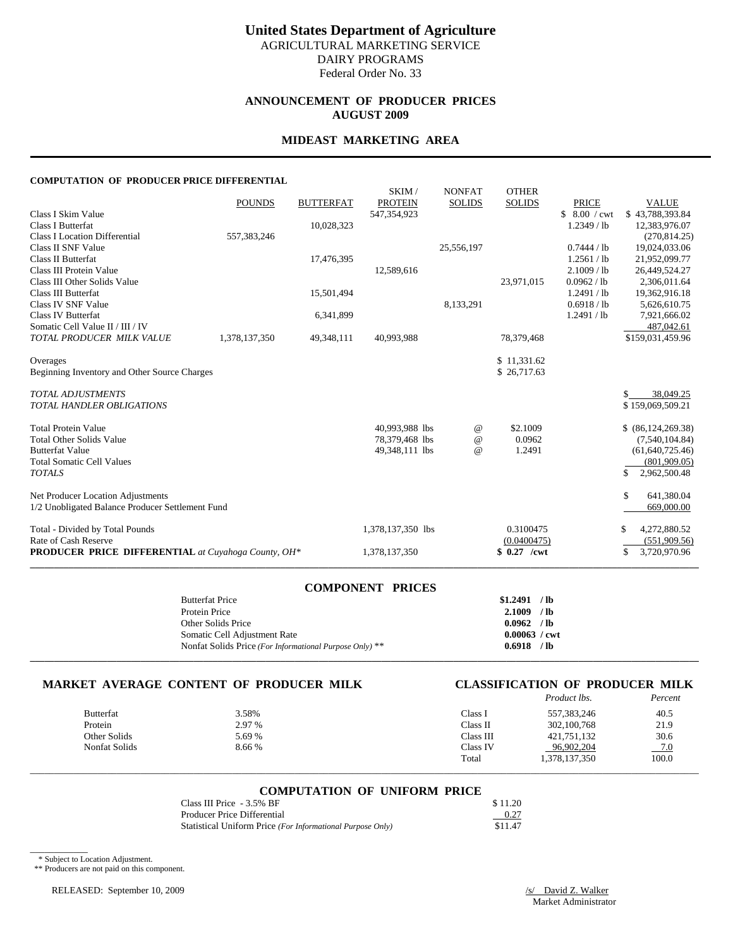### **ANNOUNCEMENT OF PRODUCER PRICES AUGUST 2009**

### **MIDEAST MARKETING AREA**

### **COMPUTATION OF PRODUCER PRICE DIFFERENTIAL**

|                                                            |               |                  | SKIM/             | <b>NONFAT</b> | <b>OTHER</b>  |               |                    |
|------------------------------------------------------------|---------------|------------------|-------------------|---------------|---------------|---------------|--------------------|
|                                                            | <b>POUNDS</b> | <b>BUTTERFAT</b> | <b>PROTEIN</b>    | <b>SOLIDS</b> | <b>SOLIDS</b> | <b>PRICE</b>  | <b>VALUE</b>       |
| Class I Skim Value                                         |               |                  | 547,354,923       |               |               | \$8.00 / cwt  | \$43,788,393.84    |
| Class I Butterfat                                          |               | 10,028,323       |                   |               |               | $1.2349$ / lb | 12,383,976.07      |
| <b>Class I Location Differential</b>                       | 557,383,246   |                  |                   |               |               |               | (270, 814.25)      |
| Class II SNF Value                                         |               |                  |                   | 25,556,197    |               | 0.7444 / lb   | 19,024,033.06      |
| Class II Butterfat                                         |               | 17,476,395       |                   |               |               | 1.2561 / lb   | 21,952,099.77      |
| Class III Protein Value                                    |               |                  | 12,589,616        |               |               | 2.1009 / lb   | 26,449,524.27      |
| Class III Other Solids Value                               |               |                  |                   |               | 23,971,015    | 0.0962 / lb   | 2,306,011.64       |
| Class III Butterfat                                        |               | 15,501,494       |                   |               |               | 1.2491 / lb   | 19,362,916.18      |
| Class IV SNF Value                                         |               |                  |                   | 8,133,291     |               | 0.6918 / lb   | 5,626,610.75       |
| <b>Class IV Butterfat</b>                                  |               | 6,341,899        |                   |               |               | 1.2491 / lb   | 7,921,666.02       |
| Somatic Cell Value II / III / IV                           |               |                  |                   |               |               |               | 487,042.61         |
| TOTAL PRODUCER MILK VALUE                                  | 1,378,137,350 | 49,348,111       | 40,993,988        |               | 78,379,468    |               | \$159,031,459.96   |
| Overages                                                   |               |                  |                   |               | \$11,331.62   |               |                    |
| Beginning Inventory and Other Source Charges               |               |                  |                   |               | \$26,717.63   |               |                    |
|                                                            |               |                  |                   |               |               |               |                    |
| <b>TOTAL ADJUSTMENTS</b>                                   |               |                  |                   |               |               |               | \$<br>38,049.25    |
| <b>TOTAL HANDLER OBLIGATIONS</b>                           |               |                  |                   |               |               |               | \$159,069,509.21   |
|                                                            |               |                  |                   |               |               |               |                    |
| <b>Total Protein Value</b>                                 |               |                  | 40.993.988 lbs    | $^{\omega}{}$ | \$2.1009      |               | \$ (86,124,269.38) |
| <b>Total Other Solids Value</b>                            |               |                  | 78,379,468 lbs    | $\omega$      | 0.0962        |               | (7,540,104.84)     |
| <b>Butterfat Value</b>                                     |               |                  | 49,348,111 lbs    | $\omega$      | 1.2491        |               | (61, 640, 725.46)  |
| <b>Total Somatic Cell Values</b>                           |               |                  |                   |               |               |               | (801,909.05)       |
| <b>TOTALS</b>                                              |               |                  |                   |               |               |               | \$<br>2,962,500.48 |
|                                                            |               |                  |                   |               |               |               |                    |
| Net Producer Location Adjustments                          |               |                  |                   |               |               |               | \$<br>641,380.04   |
| 1/2 Unobligated Balance Producer Settlement Fund           |               |                  |                   |               |               |               | 669,000.00         |
| Total - Divided by Total Pounds                            |               |                  | 1,378,137,350 lbs |               | 0.3100475     |               | \$<br>4,272,880.52 |
| Rate of Cash Reserve                                       |               |                  |                   |               | (0.0400475)   |               | (551,909.56)       |
| <b>PRODUCER PRICE DIFFERENTIAL</b> at Cuyahoga County, OH* |               |                  | 1,378,137,350     |               | $$0.27$ /cwt  |               | \$<br>3,720,970.96 |
|                                                            |               |                  |                   |               |               |               |                    |

### **COMPONENT PRICES**

| <b>Butterfat Price</b>                                  | \$1.2491               | $/$ lb |
|---------------------------------------------------------|------------------------|--------|
| Protein Price                                           | 2.1009                 | $/$ lb |
| Other Solids Price                                      | 0.0962                 | $/$ lb |
| Somatic Cell Adjustment Rate                            | $0.00063 / \text{cwt}$ |        |
| Nonfat Solids Price (For Informational Purpose Only) ** | 0.6918                 | / lb   |
|                                                         |                        |        |

## **MARKET AVERAGE CONTENT OF PRODUCER MILK CLASSIFICATION OF PRODUCER MILK**

|                  |        |           | Product lbs.  | Percent |
|------------------|--------|-----------|---------------|---------|
| <b>Butterfat</b> | 3.58%  | Class I   | 557,383,246   | 40.5    |
| Protein          | 2.97 % | Class II  | 302, 100, 768 | 21.9    |
| Other Solids     | 5.69 % | Class III | 421,751,132   | 30.6    |
| Nonfat Solids    | 8.66 % | Class IV  | 96.902.204    | $-7.0$  |
|                  |        | Total     | 1,378,137,350 | 100.0   |

# \_\_\_\_\_\_\_\_\_\_\_\_\_\_\_\_\_\_\_\_\_\_\_\_\_\_\_\_\_\_\_\_\_\_\_\_\_\_\_\_\_\_\_\_\_\_\_\_\_\_\_\_\_\_\_\_\_\_\_\_\_\_\_\_\_\_\_\_\_\_\_\_\_\_\_\_\_\_\_\_\_\_\_\_\_\_\_\_\_\_\_\_\_\_\_\_\_\_\_\_\_\_\_\_\_\_\_\_\_\_\_\_\_\_\_\_\_\_\_\_\_\_\_\_\_\_\_\_\_\_\_\_\_\_\_\_\_\_\_ **COMPUTATION OF UNIFORM PRICE**

| Class III Price - 3.5% BF                                  | \$11.20 |
|------------------------------------------------------------|---------|
| Producer Price Differential                                | 0.27    |
| Statistical Uniform Price (For Informational Purpose Only) | \$11.47 |

\* Subject to Location Adjustment.

 $\overline{\phantom{a}}$   $\overline{\phantom{a}}$   $\overline{\phantom{a}}$   $\overline{\phantom{a}}$   $\overline{\phantom{a}}$   $\overline{\phantom{a}}$   $\overline{\phantom{a}}$   $\overline{\phantom{a}}$   $\overline{\phantom{a}}$   $\overline{\phantom{a}}$   $\overline{\phantom{a}}$   $\overline{\phantom{a}}$   $\overline{\phantom{a}}$   $\overline{\phantom{a}}$   $\overline{\phantom{a}}$   $\overline{\phantom{a}}$   $\overline{\phantom{a}}$   $\overline{\phantom{a}}$   $\overline{\$ 

\*\* Producers are not paid on this component.

RELEASED: September 10, 2009 /s/ David Z. Walker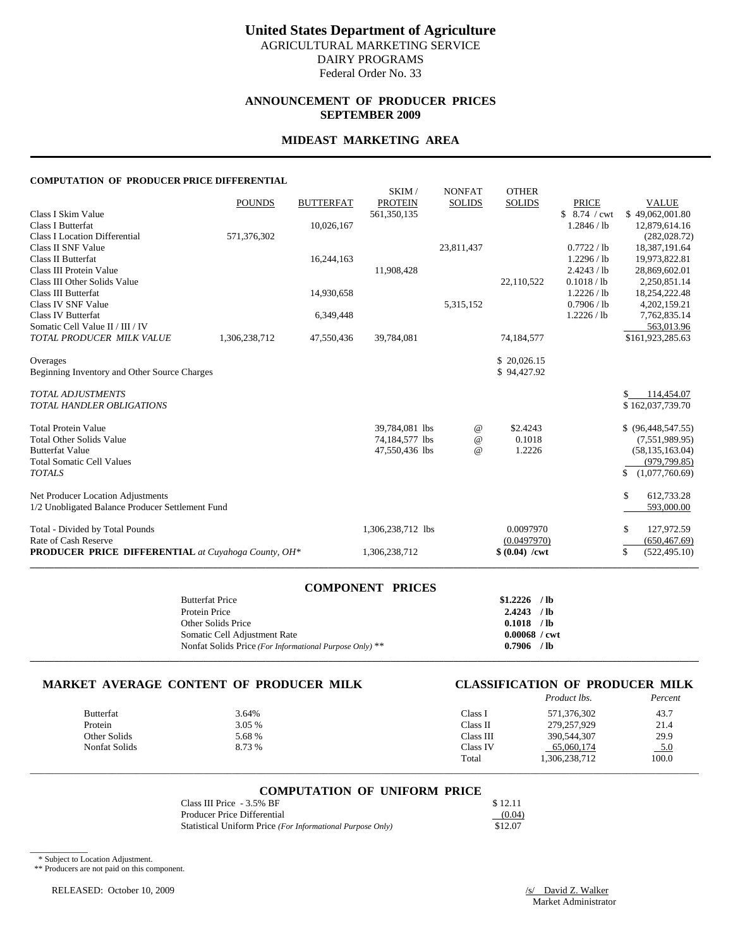### **ANNOUNCEMENT OF PRODUCER PRICES SEPTEMBER 2009**

### **MIDEAST MARKETING AREA**

### **COMPUTATION OF PRODUCER PRICE DIFFERENTIAL**

|                                                            |               |                  | SKIM/             | <b>NONFAT</b> | <b>OTHER</b>            |               |                      |
|------------------------------------------------------------|---------------|------------------|-------------------|---------------|-------------------------|---------------|----------------------|
|                                                            | <b>POUNDS</b> | <b>BUTTERFAT</b> | <b>PROTEIN</b>    | <b>SOLIDS</b> | <b>SOLIDS</b>           | <b>PRICE</b>  | <b>VALUE</b>         |
| Class I Skim Value                                         |               |                  | 561,350,135       |               |                         | \$ 8.74 / cwt | \$49,062,001.80      |
| Class I Butterfat                                          |               | 10,026,167       |                   |               |                         | 1.2846 / lb   | 12,879,614.16        |
| <b>Class I Location Differential</b>                       | 571,376,302   |                  |                   |               |                         |               | (282, 028.72)        |
| Class II SNF Value                                         |               |                  |                   | 23,811,437    |                         | 0.7722 / lb   | 18,387,191.64        |
| Class II Butterfat                                         |               | 16,244,163       |                   |               |                         | 1.2296 / lb   | 19,973,822.81        |
| Class III Protein Value                                    |               |                  | 11,908,428        |               |                         | 2.4243 / lb   | 28,869,602.01        |
| Class III Other Solids Value                               |               |                  |                   |               | 22,110,522              | 0.1018 / lb   | 2,250,851.14         |
| Class III Butterfat                                        |               | 14,930,658       |                   |               |                         | 1.2226 / lb   | 18,254,222.48        |
| Class IV SNF Value                                         |               |                  |                   | 5,315,152     |                         | 0.7906 / lb   | 4,202,159.21         |
| <b>Class IV Butterfat</b>                                  |               | 6,349,448        |                   |               |                         | 1.2226 / lb   | 7,762,835.14         |
| Somatic Cell Value II / III / IV                           |               |                  |                   |               |                         |               | 563,013.96           |
| TOTAL PRODUCER MILK VALUE                                  | 1,306,238,712 | 47,550,436       | 39,784,081        |               | 74,184,577              |               | \$161,923,285.63     |
| Overages                                                   |               |                  |                   |               | \$20,026.15             |               |                      |
| Beginning Inventory and Other Source Charges               |               |                  |                   |               | \$94,427.92             |               |                      |
| <b>TOTAL ADJUSTMENTS</b>                                   |               |                  |                   |               |                         |               | \$<br>114,454.07     |
| <b>TOTAL HANDLER OBLIGATIONS</b>                           |               |                  |                   |               |                         |               | \$162,037,739.70     |
| <b>Total Protein Value</b>                                 |               |                  | 39,784,081 lbs    | $^{\circ}$    | \$2.4243                |               | $$$ (96,448,547.55)  |
| <b>Total Other Solids Value</b>                            |               |                  | 74,184,577 lbs    | $^{\circ}$    | 0.1018                  |               | (7,551,989.95)       |
| <b>Butterfat Value</b>                                     |               |                  | 47,550,436 lbs    | $^{\circ}$    | 1.2226                  |               | (58, 135, 163.04)    |
| <b>Total Somatic Cell Values</b>                           |               |                  |                   |               |                         |               | (979, 799.85)        |
| <b>TOTALS</b>                                              |               |                  |                   |               |                         |               | (1,077,760.69)<br>\$ |
| Net Producer Location Adjustments                          |               |                  |                   |               |                         |               | \$<br>612,733.28     |
| 1/2 Unobligated Balance Producer Settlement Fund           |               |                  |                   |               |                         |               | 593,000.00           |
| Total - Divided by Total Pounds                            |               |                  | 1,306,238,712 lbs |               | 0.0097970               |               | \$<br>127,972.59     |
| Rate of Cash Reserve                                       |               |                  |                   |               | (0.0497970)             |               | (650, 467.69)        |
| <b>PRODUCER PRICE DIFFERENTIAL</b> at Cuyahoga County, OH* |               |                  | 1,306,238,712     |               | $$ (0.04) / \text{cwt}$ |               | \$<br>(522, 495.10)  |
|                                                            |               |                  |                   |               |                         |               |                      |

### **COMPONENT PRICES**

| <b>Butterfat Price</b>                                  | \$1,2226        | $/$ lb |
|---------------------------------------------------------|-----------------|--------|
| Protein Price                                           | 2.4243          | $/$ lb |
| Other Solids Price                                      | 0.1018          | $/$ lb |
| Somatic Cell Adjustment Rate                            | $0.00068$ / cwt |        |
| Nonfat Solids Price (For Informational Purpose Only) ** | 0.7906          | $/$ lb |
|                                                         |                 |        |

# **MARKET AVERAGE CONTENT OF PRODUCER MILK CLASSIFICATION OF PRODUCER MILK**

|                  |        |           | <i>Product lbs.</i> | Percent |
|------------------|--------|-----------|---------------------|---------|
| <b>Butterfat</b> | 3.64%  | Class I   | 571.376.302         | 43.7    |
| Protein          | 3.05 % | Class II  | 279,257,929         | 21.4    |
| Other Solids     | 5.68 % | Class III | 390,544,307         | 29.9    |
| Nonfat Solids    | 8.73 % | Class IV  | 65,060,174          | 5.0     |
|                  |        | Total     | 1,306,238,712       | 100.0   |

# \_\_\_\_\_\_\_\_\_\_\_\_\_\_\_\_\_\_\_\_\_\_\_\_\_\_\_\_\_\_\_\_\_\_\_\_\_\_\_\_\_\_\_\_\_\_\_\_\_\_\_\_\_\_\_\_\_\_\_\_\_\_\_\_\_\_\_\_\_\_\_\_\_\_\_\_\_\_\_\_\_\_\_\_\_\_\_\_\_\_\_\_\_\_\_\_\_\_\_\_\_\_\_\_\_\_\_\_\_\_\_\_\_\_\_\_\_\_\_\_\_\_\_\_\_\_\_\_\_\_\_\_\_\_\_\_\_\_\_ **COMPUTATION OF UNIFORM PRICE**

| Class III Price - 3.5% BF                                  | \$12.11 |
|------------------------------------------------------------|---------|
| Producer Price Differential                                | (0.04)  |
| Statistical Uniform Price (For Informational Purpose Only) | \$12.07 |

\* Subject to Location Adjustment.

 $\overline{\phantom{a}}$   $\overline{\phantom{a}}$   $\overline{\phantom{a}}$   $\overline{\phantom{a}}$   $\overline{\phantom{a}}$   $\overline{\phantom{a}}$   $\overline{\phantom{a}}$   $\overline{\phantom{a}}$   $\overline{\phantom{a}}$   $\overline{\phantom{a}}$   $\overline{\phantom{a}}$   $\overline{\phantom{a}}$   $\overline{\phantom{a}}$   $\overline{\phantom{a}}$   $\overline{\phantom{a}}$   $\overline{\phantom{a}}$   $\overline{\phantom{a}}$   $\overline{\phantom{a}}$   $\overline{\$ 

\*\* Producers are not paid on this component.

RELEASED: October 10, 2009 /s/ David Z. Walker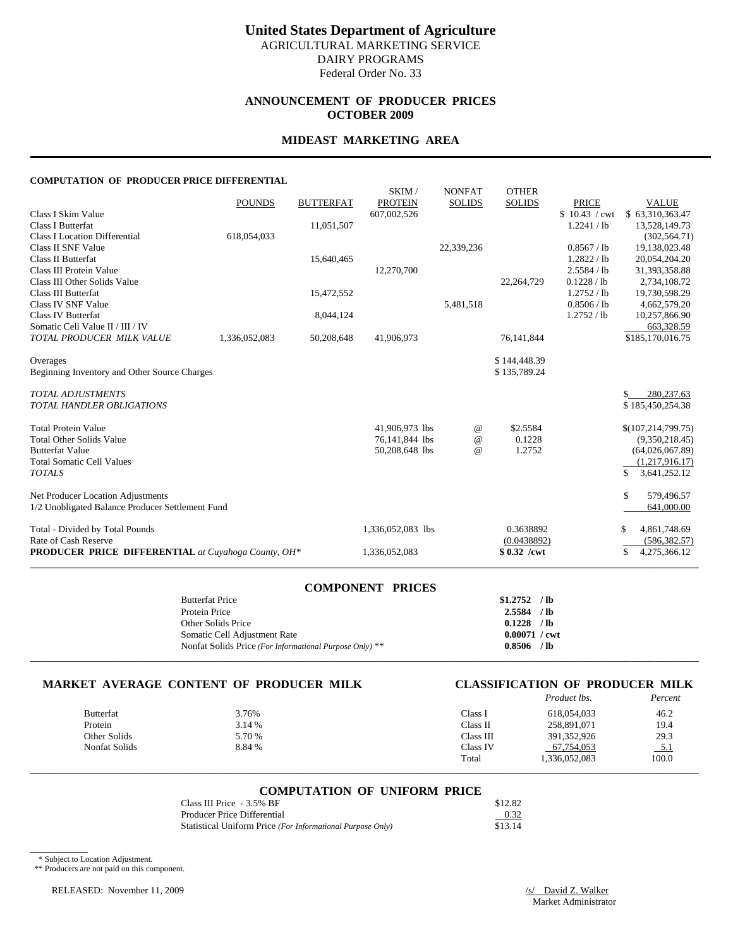## **ANNOUNCEMENT OF PRODUCER PRICES OCTOBER 2009**

### **MIDEAST MARKETING AREA**

### **COMPUTATION OF PRODUCER PRICE DIFFERENTIAL**

|                                                            |               |                  | SKIM/             | <b>NONFAT</b> | <b>OTHER</b>  |               |                      |
|------------------------------------------------------------|---------------|------------------|-------------------|---------------|---------------|---------------|----------------------|
|                                                            | <b>POUNDS</b> | <b>BUTTERFAT</b> | <b>PROTEIN</b>    | <b>SOLIDS</b> | <b>SOLIDS</b> | <b>PRICE</b>  | <b>VALUE</b>         |
| Class I Skim Value                                         |               |                  | 607,002,526       |               |               | \$10.43 / cwt | \$63,310,363.47      |
| Class I Butterfat                                          |               | 11,051,507       |                   |               |               | 1.2241 / lb   | 13,528,149.73        |
| <b>Class I Location Differential</b>                       | 618,054,033   |                  |                   |               |               |               | (302, 564.71)        |
| Class II SNF Value                                         |               |                  |                   | 22,339,236    |               | 0.8567 / lb   | 19,138,023.48        |
| Class II Butterfat                                         |               | 15,640,465       |                   |               |               | 1.2822 / lb   | 20,054,204.20        |
| Class III Protein Value                                    |               |                  | 12,270,700        |               |               | 2.5584 / lb   | 31,393,358.88        |
| Class III Other Solids Value                               |               |                  |                   |               | 22,264,729    | 0.1228 / lb   | 2,734,108.72         |
| Class III Butterfat                                        |               | 15,472,552       |                   |               |               | 1.2752 / lb   | 19,730,598.29        |
| Class IV SNF Value                                         |               |                  |                   | 5,481,518     |               | 0.8506 / lb   | 4,662,579.20         |
| <b>Class IV Butterfat</b>                                  |               | 8,044,124        |                   |               |               | 1.2752 / lb   | 10,257,866.90        |
| Somatic Cell Value II / III / IV                           |               |                  |                   |               |               |               | 663,328.59           |
| TOTAL PRODUCER MILK VALUE                                  | 1,336,052,083 | 50,208,648       | 41,906,973        |               | 76,141,844    |               | \$185,170,016.75     |
|                                                            |               |                  |                   |               |               |               |                      |
| Overages                                                   |               |                  |                   |               | \$144,448.39  |               |                      |
| Beginning Inventory and Other Source Charges               |               |                  |                   |               | \$135,789.24  |               |                      |
| <b>TOTAL ADJUSTMENTS</b>                                   |               |                  |                   |               |               |               | \$<br>280, 237.63    |
| <b>TOTAL HANDLER OBLIGATIONS</b>                           |               |                  |                   |               |               |               | \$185,450,254.38     |
|                                                            |               |                  |                   |               |               |               |                      |
| <b>Total Protein Value</b>                                 |               |                  | 41.906.973 lbs    | $^{\omega}{}$ | \$2.5584      |               | \$(107, 214, 799.75) |
| <b>Total Other Solids Value</b>                            |               |                  | 76,141,844 lbs    | $\omega$      | 0.1228        |               | (9,350,218.45)       |
| <b>Butterfat Value</b>                                     |               |                  | 50,208,648 lbs    | $\omega$      | 1.2752        |               | (64,026,067.89)      |
| <b>Total Somatic Cell Values</b>                           |               |                  |                   |               |               |               | (1,217,916.17)       |
| <b>TOTALS</b>                                              |               |                  |                   |               |               |               | \$<br>3,641,252.12   |
|                                                            |               |                  |                   |               |               |               |                      |
| Net Producer Location Adjustments                          |               |                  |                   |               |               |               | \$<br>579,496.57     |
| 1/2 Unobligated Balance Producer Settlement Fund           |               |                  |                   |               |               |               | 641,000.00           |
| Total - Divided by Total Pounds                            |               |                  | 1,336,052,083 lbs |               | 0.3638892     |               | \$<br>4,861,748.69   |
| Rate of Cash Reserve                                       |               |                  |                   |               | (0.0438892)   |               | (586, 382.57)        |
| <b>PRODUCER PRICE DIFFERENTIAL</b> at Cuyahoga County, OH* |               |                  | 1,336,052,083     |               | $$0.32$ /cwt  |               | \$<br>4,275,366.12   |
|                                                            |               |                  |                   |               |               |               |                      |

### **COMPONENT PRICES**

| <b>Butterfat Price</b>                                  | \$1,2752               | $/$ lb |
|---------------------------------------------------------|------------------------|--------|
| Protein Price                                           | 2.5584                 | $/$ lb |
| Other Solids Price                                      | 0.1228                 | $/$ lb |
| Somatic Cell Adjustment Rate                            | $0.00071 / \text{cwt}$ |        |
| Nonfat Solids Price (For Informational Purpose Only) ** | 0.8506                 | $/$ lb |
|                                                         |                        |        |

# **MARKET AVERAGE CONTENT OF PRODUCER MILK CLASSIFICATION OF PRODUCER MILK**

|                  |        |           | Product lbs.  | Percent |
|------------------|--------|-----------|---------------|---------|
| <b>Butterfat</b> | 3.76%  | Class I   | 618,054,033   | 46.2    |
| Protein          | 3.14 % | Class II  | 258,891,071   | 19.4    |
| Other Solids     | 5.70 % | Class III | 391.352.926   | 29.3    |
| Nonfat Solids    | 8.84 % | Class IV  | 67.754.053    | 5.1     |
|                  |        | Total     | 1.336.052.083 | 100.0   |

# \_\_\_\_\_\_\_\_\_\_\_\_\_\_\_\_\_\_\_\_\_\_\_\_\_\_\_\_\_\_\_\_\_\_\_\_\_\_\_\_\_\_\_\_\_\_\_\_\_\_\_\_\_\_\_\_\_\_\_\_\_\_\_\_\_\_\_\_\_\_\_\_\_\_\_\_\_\_\_\_\_\_\_\_\_\_\_\_\_\_\_\_\_\_\_\_\_\_\_\_\_\_\_\_\_\_\_\_\_\_\_\_\_\_\_\_\_\_\_\_\_\_\_\_\_\_\_\_\_\_\_\_\_\_\_\_\_\_\_ **COMPUTATION OF UNIFORM PRICE**

| Class III Price - 3.5% BF                                  | \$12.82 |
|------------------------------------------------------------|---------|
| Producer Price Differential                                | 0.32    |
| Statistical Uniform Price (For Informational Purpose Only) | \$13.14 |

\* Subject to Location Adjustment.

 $\overline{\phantom{a}}$   $\overline{\phantom{a}}$   $\overline{\phantom{a}}$   $\overline{\phantom{a}}$   $\overline{\phantom{a}}$   $\overline{\phantom{a}}$   $\overline{\phantom{a}}$   $\overline{\phantom{a}}$   $\overline{\phantom{a}}$   $\overline{\phantom{a}}$   $\overline{\phantom{a}}$   $\overline{\phantom{a}}$   $\overline{\phantom{a}}$   $\overline{\phantom{a}}$   $\overline{\phantom{a}}$   $\overline{\phantom{a}}$   $\overline{\phantom{a}}$   $\overline{\phantom{a}}$   $\overline{\$ 

\*\* Producers are not paid on this component.

RELEASED: November 11, 2009 /s/ David Z. Walker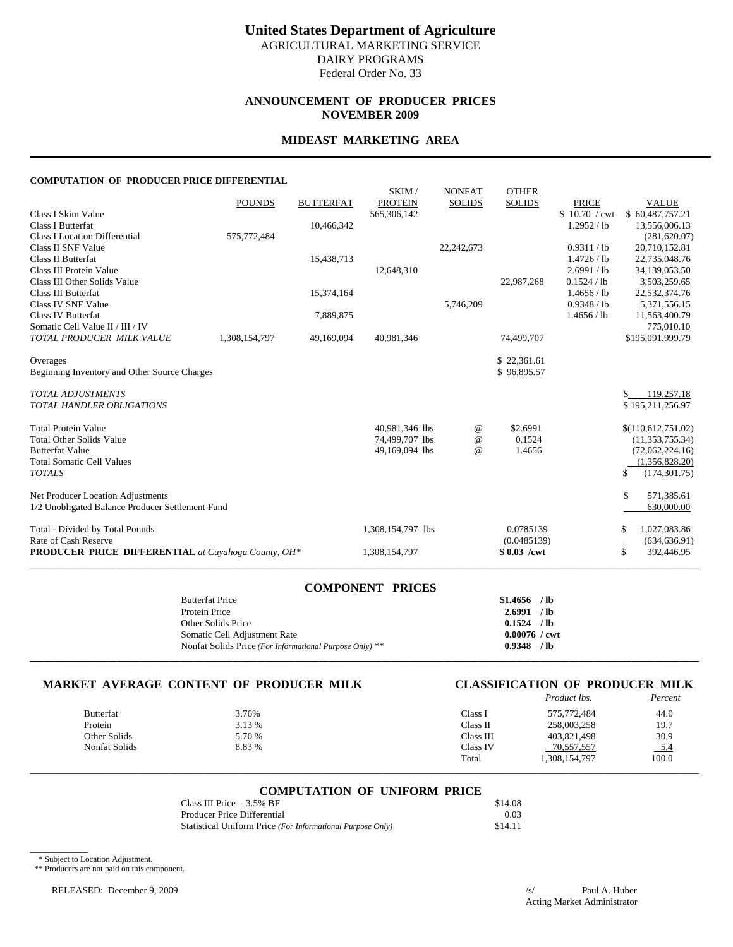### **ANNOUNCEMENT OF PRODUCER PRICES NOVEMBER 2009**

### **MIDEAST MARKETING AREA**

### **COMPUTATION OF PRODUCER PRICE DIFFERENTIAL**

|                                                            |               |                  | SKIM/             | <b>NONFAT</b> | <b>OTHER</b>  |               |                     |
|------------------------------------------------------------|---------------|------------------|-------------------|---------------|---------------|---------------|---------------------|
|                                                            | <b>POUNDS</b> | <b>BUTTERFAT</b> | <b>PROTEIN</b>    | <b>SOLIDS</b> | <b>SOLIDS</b> | <b>PRICE</b>  | <b>VALUE</b>        |
| Class I Skim Value                                         |               |                  | 565,306,142       |               |               | \$10.70 / cwt | \$60,487,757.21     |
| Class I Butterfat                                          |               | 10,466,342       |                   |               |               | 1.2952 / lb   | 13,556,006.13       |
| <b>Class I Location Differential</b>                       | 575,772,484   |                  |                   |               |               |               | (281, 620.07)       |
| Class II SNF Value                                         |               |                  |                   | 22,242,673    |               | 0.9311 / lb   | 20,710,152.81       |
| Class II Butterfat                                         |               | 15,438,713       |                   |               |               | 1.4726 / lb   | 22,735,048.76       |
| Class III Protein Value                                    |               |                  | 12,648,310        |               |               | 2.6991 / lb   | 34,139,053.50       |
| Class III Other Solids Value                               |               |                  |                   |               | 22,987,268    | 0.1524 / lb   | 3,503,259.65        |
| Class III Butterfat                                        |               | 15,374,164       |                   |               |               | 1.4656 / lb   | 22,532,374.76       |
| Class IV SNF Value                                         |               |                  |                   | 5,746,209     |               | 0.9348 / lb   | 5,371,556.15        |
| <b>Class IV Butterfat</b>                                  |               | 7,889,875        |                   |               |               | 1.4656 / lb   | 11,563,400.79       |
| Somatic Cell Value II / III / IV                           |               |                  |                   |               |               |               | 775,010.10          |
| TOTAL PRODUCER MILK VALUE                                  | 1,308,154,797 | 49,169,094       | 40,981,346        |               | 74,499,707    |               | \$195,091,999.79    |
| Overages                                                   |               |                  |                   |               | \$22,361.61   |               |                     |
| Beginning Inventory and Other Source Charges               |               |                  |                   |               | \$96,895.57   |               |                     |
| <b>TOTAL ADJUSTMENTS</b>                                   |               |                  |                   |               |               |               | 119,257.18<br>\$    |
| <b>TOTAL HANDLER OBLIGATIONS</b>                           |               |                  |                   |               |               |               | \$195,211,256.97    |
| <b>Total Protein Value</b>                                 |               |                  | 40,981,346 lbs    | $^{\circ}$    | \$2.6991      |               | \$(110,612,751.02)  |
| <b>Total Other Solids Value</b>                            |               |                  | 74,499,707 lbs    | $^{\circ}$    | 0.1524        |               | (11, 353, 755.34)   |
| <b>Butterfat Value</b>                                     |               |                  | 49,169,094 lbs    | $^{\circ}$    | 1.4656        |               | (72,062,224.16)     |
| <b>Total Somatic Cell Values</b>                           |               |                  |                   |               |               |               | (1,356,828.20)      |
| <b>TOTALS</b>                                              |               |                  |                   |               |               |               | (174, 301.75)<br>\$ |
| Net Producer Location Adjustments                          |               |                  |                   |               |               |               | \$<br>571,385.61    |
| 1/2 Unobligated Balance Producer Settlement Fund           |               |                  |                   |               |               |               | 630,000.00          |
| Total - Divided by Total Pounds                            |               |                  | 1,308,154,797 lbs |               | 0.0785139     |               | \$<br>1,027,083.86  |
| Rate of Cash Reserve                                       |               |                  |                   |               | (0.0485139)   |               | (634, 636.91)       |
| <b>PRODUCER PRICE DIFFERENTIAL</b> at Cuyahoga County, OH* |               |                  | 1,308,154,797     |               | $$0.03$ /cwt  |               | \$<br>392,446.95    |
|                                                            |               |                  |                   |               |               |               |                     |

### **COMPONENT PRICES**

| <b>Butterfat Price</b>                                  | \$1.4656        | $/$ lb |
|---------------------------------------------------------|-----------------|--------|
| Protein Price                                           | 2.6991          | $/$ lb |
| Other Solids Price                                      | 0.1524          | $/$ lb |
| Somatic Cell Adjustment Rate                            | $0.00076$ / cwt |        |
| Nonfat Solids Price (For Informational Purpose Only) ** | 0.9348          | $/$ lb |
|                                                         |                 |        |

# **MARKET AVERAGE CONTENT OF PRODUCER MILK CLASSIFICATION OF PRODUCER MILK**

|                  |        |           | <i>Product lbs.</i> | Percent |
|------------------|--------|-----------|---------------------|---------|
| <b>Butterfat</b> | 3.76%  | Class I   | 575.772.484         | 44.0    |
| Protein          | 3.13 % | Class II  | 258,003,258         | 19.7    |
| Other Solids     | 5.70 % | Class III | 403,821,498         | 30.9    |
| Nonfat Solids    | 8.83 % | Class IV  | 70,557,557          | 5.4     |
|                  |        | Total     | 1,308,154,797       | 100.0   |

# \_\_\_\_\_\_\_\_\_\_\_\_\_\_\_\_\_\_\_\_\_\_\_\_\_\_\_\_\_\_\_\_\_\_\_\_\_\_\_\_\_\_\_\_\_\_\_\_\_\_\_\_\_\_\_\_\_\_\_\_\_\_\_\_\_\_\_\_\_\_\_\_\_\_\_\_\_\_\_\_\_\_\_\_\_\_\_\_\_\_\_\_\_\_\_\_\_\_\_\_\_\_\_\_\_\_\_\_\_\_\_\_\_\_\_\_\_\_\_\_\_\_\_\_\_\_\_\_\_\_\_\_\_\_\_\_\_\_\_ **COMPUTATION OF UNIFORM PRICE**

| Class III Price - 3.5% BF                                  | \$14.08 |
|------------------------------------------------------------|---------|
| Producer Price Differential                                | 0.03    |
| Statistical Uniform Price (For Informational Purpose Only) | \$14.11 |

\* Subject to Location Adjustment.

 $\overline{\phantom{a}}$   $\overline{\phantom{a}}$   $\overline{\phantom{a}}$   $\overline{\phantom{a}}$   $\overline{\phantom{a}}$   $\overline{\phantom{a}}$   $\overline{\phantom{a}}$   $\overline{\phantom{a}}$   $\overline{\phantom{a}}$   $\overline{\phantom{a}}$   $\overline{\phantom{a}}$   $\overline{\phantom{a}}$   $\overline{\phantom{a}}$   $\overline{\phantom{a}}$   $\overline{\phantom{a}}$   $\overline{\phantom{a}}$   $\overline{\phantom{a}}$   $\overline{\phantom{a}}$   $\overline{\$ 

\*\* Producers are not paid on this component.